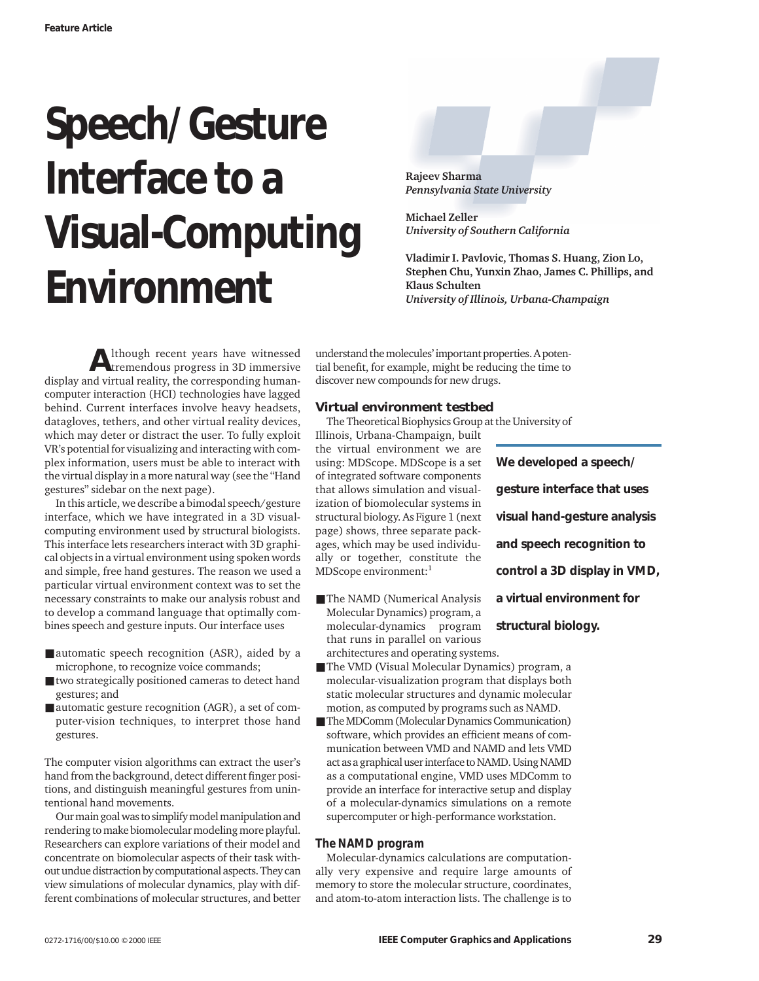# **Speech/Gesture Interface to a Visual-Computing Environment**



*Pennsylvania State University*

**Michael Zeller** *University of Southern California*

**Vladimir I. Pavlovic, Thomas S. Huang, Zion Lo, Stephen Chu, Yunxin Zhao, James C. Phillips, and Klaus Schulten** *University of Illinois, Urbana-Champaign*

Although recent years have witnessed<br>tremendous progress in 3D immersive display and virtual reality, the corresponding humancomputer interaction (HCI) technologies have lagged behind. Current interfaces involve heavy headsets, datagloves, tethers, and other virtual reality devices, which may deter or distract the user. To fully exploit VR's potential for visualizing and interacting with complex information, users must be able to interact with the virtual display in a more natural way (see the "Hand gestures" sidebar on the next page).

In this article, we describe a bimodal speech/gesture interface, which we have integrated in a 3D visualcomputing environment used by structural biologists. This interface lets researchers interact with 3D graphical objects in a virtual environment using spoken words and simple, free hand gestures. The reason we used a particular virtual environment context was to set the necessary constraints to make our analysis robust and to develop a command language that optimally combines speech and gesture inputs. Our interface uses

- automatic speech recognition (ASR), aided by a microphone, to recognize voice commands;
- two strategically positioned cameras to detect hand gestures; and
- automatic gesture recognition (AGR), a set of computer-vision techniques, to interpret those hand gestures.

The computer vision algorithms can extract the user's hand from the background, detect different finger positions, and distinguish meaningful gestures from unintentional hand movements.

Our main goal was to simplify model manipulation and rendering to make biomolecular modeling more playful. Researchers can explore variations of their model and concentrate on biomolecular aspects of their task without undue distraction by computational aspects. They can view simulations of molecular dynamics, play with different combinations of molecular structures, and better

understand the molecules' important properties. A potential benefit, for example, might be reducing the time to discover new compounds for new drugs.

# **Virtual environment testbed**

The Theoretical Biophysics Group at the University of

Illinois, Urbana-Champaign, built the virtual environment we are using: MDScope. MDScope is a set of integrated software components that allows simulation and visualization of biomolecular systems in structural biology. As Figure 1 (next page) shows, three separate packages, which may be used individually or together, constitute the MDScope environment:<sup>1</sup>

- The NAMD (Numerical Analysis Molecular Dynamics) program, a molecular-dynamics program that runs in parallel on various architectures and operating systems.
- The VMD (Visual Molecular Dynamics) program, a molecular-visualization program that displays both static molecular structures and dynamic molecular motion, as computed by programs such as NAMD.
- The MDComm (Molecular Dynamics Communication) software, which provides an efficient means of communication between VMD and NAMD and lets VMD act as a graphical user interface to NAMD. Using NAMD as a computational engine, VMD uses MDComm to provide an interface for interactive setup and display of a molecular-dynamics simulations on a remote supercomputer or high-performance workstation.

# *The NAMD program*

Molecular-dynamics calculations are computationally very expensive and require large amounts of memory to store the molecular structure, coordinates, and atom-to-atom interaction lists. The challenge is to

**gesture interface that uses visual hand-gesture analysis and speech recognition to control a 3D display in VMD, a virtual environment for structural biology.**

**We developed a speech/**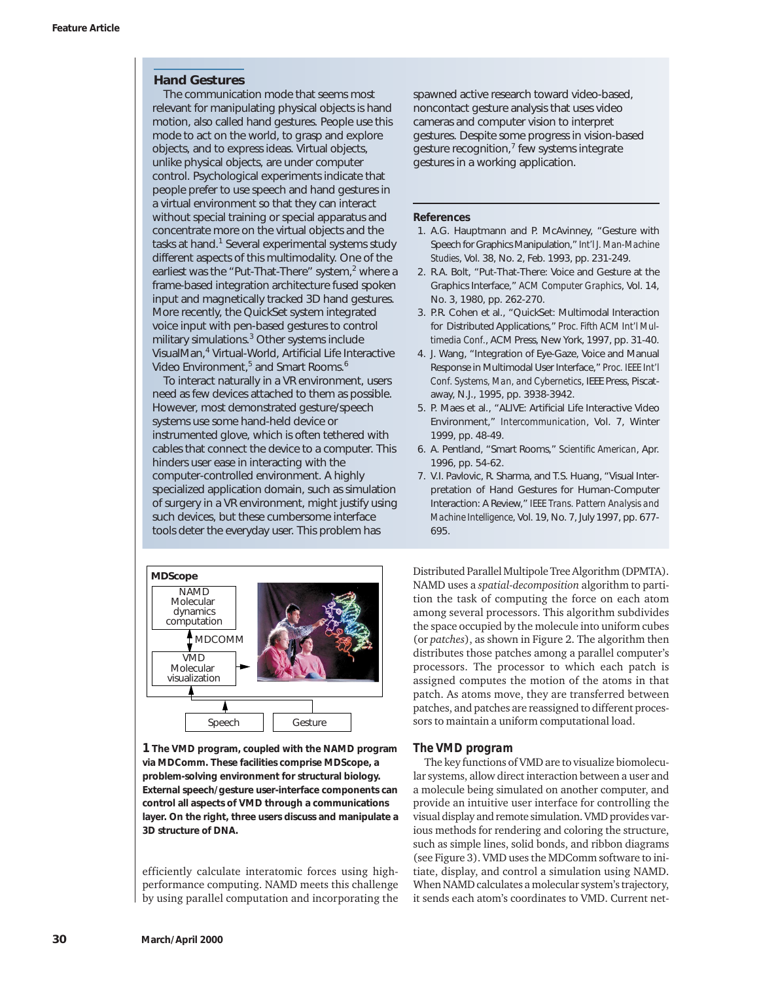# **Hand Gestures**

The communication mode that seems most relevant for manipulating physical objects is hand motion, also called hand gestures. People use this mode to act on the world, to grasp and explore objects, and to express ideas. Virtual objects, unlike physical objects, are under computer control. Psychological experiments indicate that people prefer to use speech and hand gestures in a virtual environment so that they can interact without special training or special apparatus and concentrate more on the virtual objects and the tasks at hand.<sup>1</sup> Several experimental systems study different aspects of this multimodality. One of the earliest was the "Put-That-There" system,<sup>2</sup> where a frame-based integration architecture fused spoken input and magnetically tracked 3D hand gestures. More recently, the QuickSet system integrated voice input with pen-based gestures to control military simulations.<sup>3</sup> Other systems include VisualMan,4 Virtual-World, Artificial Life Interactive Video Environment.<sup>5</sup> and Smart Rooms.<sup>6</sup>

To interact naturally in a VR environment, users need as few devices attached to them as possible. However, most demonstrated gesture/speech systems use some hand-held device or instrumented glove, which is often tethered with cables that connect the device to a computer. This hinders user ease in interacting with the computer-controlled environment. A highly specialized application domain, such as simulation of surgery in a VR environment, might justify using such devices, but these cumbersome interface tools deter the everyday user. This problem has



**1 The VMD program, coupled with the NAMD program via MDComm. These facilities comprise MDScope, a problem-solving environment for structural biology. External speech/gesture user-interface components can control all aspects of VMD through a communications layer. On the right, three users discuss and manipulate a 3D structure of DNA.**

efficiently calculate interatomic forces using highperformance computing. NAMD meets this challenge by using parallel computation and incorporating the

spawned active research toward video-based, noncontact gesture analysis that uses video cameras and computer vision to interpret gestures. Despite some progress in vision-based gesture recognition,<sup>7</sup> few systems integrate gestures in a working application.

# **References**

- 1. A.G. Hauptmann and P. McAvinney, "Gesture with Speech for Graphics Manipulation," *Int'l J. Man-Machine Studies*, Vol. 38, No. 2, Feb. 1993, pp. 231-249.
- 2. R.A. Bolt, "Put-That-There: Voice and Gesture at the Graphics Interface," *ACM Computer Graphics*, Vol. 14, No. 3, 1980, pp. 262-270.
- 3. P.R. Cohen et al., "QuickSet: Multimodal Interaction for Distributed Applications," *Proc. Fifth ACM Int'l Multimedia Conf.*, ACM Press, New York, 1997, pp. 31-40.
- 4. J. Wang, "Integration of Eye-Gaze, Voice and Manual Response in Multimodal User Interface," *Proc. IEEE Int'l Conf. Systems, Man, and Cybernetics*, IEEE Press, Piscataway, N.J., 1995, pp. 3938-3942.
- 5. P. Maes et al., "ALIVE: Artificial Life Interactive Video Environment," *Intercommunication*, Vol. 7, Winter 1999, pp. 48-49.
- 6. A. Pentland, "Smart Rooms," *Scientific American*, Apr. 1996, pp. 54-62.
- 7. V.I. Pavlovic, R. Sharma, and T.S. Huang, "Visual Interpretation of Hand Gestures for Human-Computer Interaction: A Review," *IEEE Trans. Pattern Analysis and Machine Intelligence*, Vol. 19, No. 7, July 1997, pp. 677- 695.

Distributed Parallel Multipole Tree Algorithm (DPMTA). NAMD uses a *spatial-decomposition* algorithm to partition the task of computing the force on each atom among several processors. This algorithm subdivides the space occupied by the molecule into uniform cubes (or *patches*), as shown in Figure 2. The algorithm then distributes those patches among a parallel computer's processors. The processor to which each patch is assigned computes the motion of the atoms in that patch. As atoms move, they are transferred between patches, and patches are reassigned to different processors to maintain a uniform computational load.

# *The VMD program*

The key functions of VMD are to visualize biomolecular systems, allow direct interaction between a user and a molecule being simulated on another computer, and provide an intuitive user interface for controlling the visual display and remote simulation. VMD provides various methods for rendering and coloring the structure, such as simple lines, solid bonds, and ribbon diagrams (see Figure 3). VMD uses the MDComm software to initiate, display, and control a simulation using NAMD. When NAMD calculates a molecular system's trajectory, it sends each atom's coordinates to VMD. Current net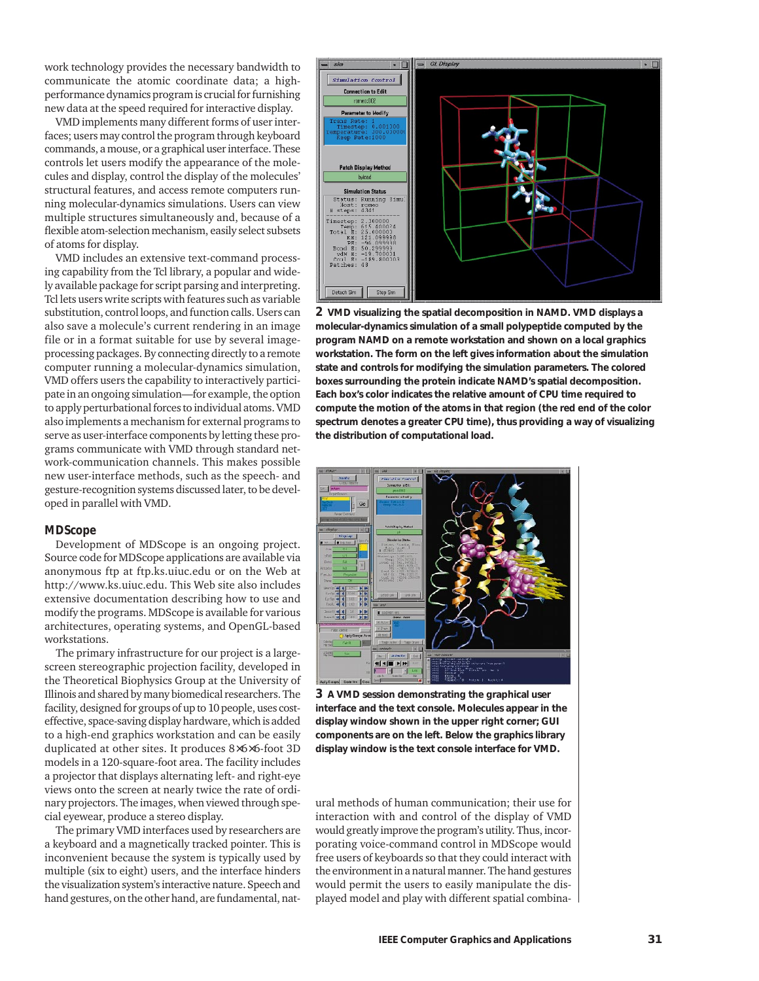work technology provides the necessary bandwidth to communicate the atomic coordinate data; a highperformance dynamics program is crucial for furnishing new data at the speed required for interactive display.

VMD implements many different forms of user interfaces; users may control the program through keyboard commands, a mouse, or a graphical user interface. These controls let users modify the appearance of the molecules and display, control the display of the molecules' structural features, and access remote computers running molecular-dynamics simulations. Users can view multiple structures simultaneously and, because of a flexible atom-selection mechanism, easily select subsets of atoms for display.

VMD includes an extensive text-command processing capability from the Tcl library, a popular and widely available package for script parsing and interpreting. Tcl lets users write scripts with features such as variable substitution, control loops, and function calls. Users can also save a molecule's current rendering in an image file or in a format suitable for use by several imageprocessing packages. By connecting directly to a remote computer running a molecular-dynamics simulation, VMD offers users the capability to interactively participate in an ongoing simulation—for example, the option to apply perturbational forces to individual atoms. VMD also implements a mechanism for external programs to serve as user-interface components by letting these programs communicate with VMD through standard network-communication channels. This makes possible new user-interface methods, such as the speech- and gesture-recognition systems discussed later, to be developed in parallel with VMD.

# *MDScope*

Development of MDScope is an ongoing project. Source code for MDScope applications are available via anonymous ftp at ftp.ks.uiuc.edu or on the Web at http://www.ks.uiuc.edu. This Web site also includes extensive documentation describing how to use and modify the programs. MDScope is available for various architectures, operating systems, and OpenGL-based workstations.

The primary infrastructure for our project is a largescreen stereographic projection facility, developed in the Theoretical Biophysics Group at the University of Illinois and shared by many biomedical researchers. The facility, designed for groups of up to 10 people, uses costeffective, space-saving display hardware, which is added to a high-end graphics workstation and can be easily duplicated at other sites. It produces 8×6×6-foot 3D models in a 120-square-foot area. The facility includes a projector that displays alternating left- and right-eye views onto the screen at nearly twice the rate of ordinary projectors. The images, when viewed through special eyewear, produce a stereo display.

The primary VMD interfaces used by researchers are a keyboard and a magnetically tracked pointer. This is inconvenient because the system is typically used by multiple (six to eight) users, and the interface hinders the visualization system's interactive nature. Speech and hand gestures, on the other hand, are fundamental, nat-



**2 VMD visualizing the spatial decomposition in NAMD. VMD displays a molecular-dynamics simulation of a small polypeptide computed by the program NAMD on a remote workstation and shown on a local graphics workstation. The form on the left gives information about the simulation state and controls for modifying the simulation parameters. The colored boxes surrounding the protein indicate NAMD's spatial decomposition. Each box's color indicates the relative amount of CPU time required to compute the motion of the atoms in that region (the red end of the color spectrum denotes a greater CPU time), thus providing a way of visualizing the distribution of computational load.**



**3 A VMD session demonstrating the graphical user interface and the text console. Molecules appear in the display window shown in the upper right corner; GUI components are on the left. Below the graphics library display window is the text console interface for VMD.**

ural methods of human communication; their use for interaction with and control of the display of VMD would greatly improve the program's utility. Thus, incorporating voice-command control in MDScope would free users of keyboards so that they could interact with the environment in a natural manner. The hand gestures would permit the users to easily manipulate the displayed model and play with different spatial combina-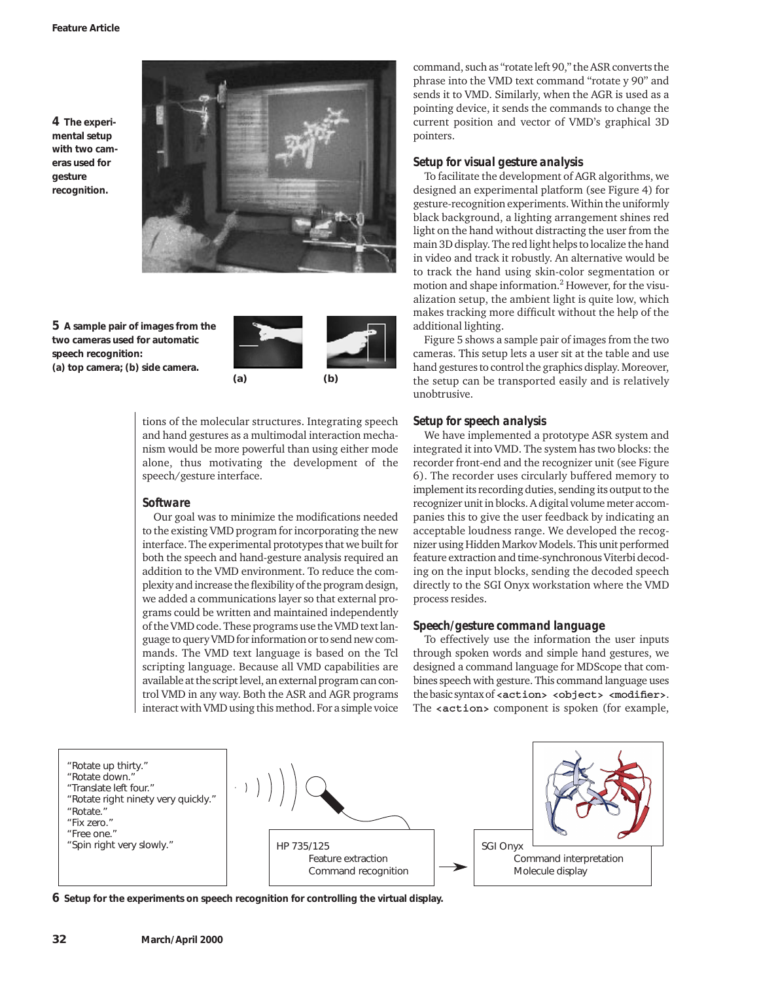**4 The experimental setup with two cameras used for gesture recognition.**



**5 A sample pair of images from the two cameras used for automatic speech recognition: (a) top camera; (b) side camera.**



tions of the molecular structures. Integrating speech and hand gestures as a multimodal interaction mechanism would be more powerful than using either mode alone, thus motivating the development of the speech/gesture interface.

# *Software*

Our goal was to minimize the modifications needed to the existing VMD program for incorporating the new interface. The experimental prototypes that we built for both the speech and hand-gesture analysis required an addition to the VMD environment. To reduce the complexity and increase the flexibility of the program design, we added a communications layer so that external programs could be written and maintained independently of the VMD code. These programs use the VMD text language to query VMD for information or to send new commands. The VMD text language is based on the Tcl scripting language. Because all VMD capabilities are available at the script level, an external program can control VMD in any way. Both the ASR and AGR programs interact with VMD using this method. For a simple voice

command, such as "rotate left 90," the ASR converts the phrase into the VMD text command "rotate y 90" and sends it to VMD. Similarly, when the AGR is used as a pointing device, it sends the commands to change the current position and vector of VMD's graphical 3D pointers.

# *Setup for visual gesture analysis*

To facilitate the development of AGR algorithms, we designed an experimental platform (see Figure 4) for gesture-recognition experiments. Within the uniformly black background, a lighting arrangement shines red light on the hand without distracting the user from the main 3D display. The red light helps to localize the hand in video and track it robustly. An alternative would be to track the hand using skin-color segmentation or motion and shape information.<sup>2</sup> However, for the visualization setup, the ambient light is quite low, which makes tracking more difficult without the help of the additional lighting.

Figure 5 shows a sample pair of images from the two cameras. This setup lets a user sit at the table and use hand gestures to control the graphics display. Moreover, the setup can be transported easily and is relatively unobtrusive.

# *Setup for speech analysis*

We have implemented a prototype ASR system and integrated it into VMD. The system has two blocks: the recorder front-end and the recognizer unit (see Figure 6). The recorder uses circularly buffered memory to implement its recording duties, sending its output to the recognizer unit in blocks. A digital volume meter accompanies this to give the user feedback by indicating an acceptable loudness range. We developed the recognizer using Hidden Markov Models. This unit performed feature extraction and time-synchronous Viterbi decoding on the input blocks, sending the decoded speech directly to the SGI Onyx workstation where the VMD process resides.

# *Speech/gesture command language*

To effectively use the information the user inputs through spoken words and simple hand gestures, we designed a command language for MDScope that combines speech with gesture. This command language uses the basic syntax of <action> <object> <modifier>. The <action> component is spoken (for example,



**6 Setup for the experiments on speech recognition for controlling the virtual display.**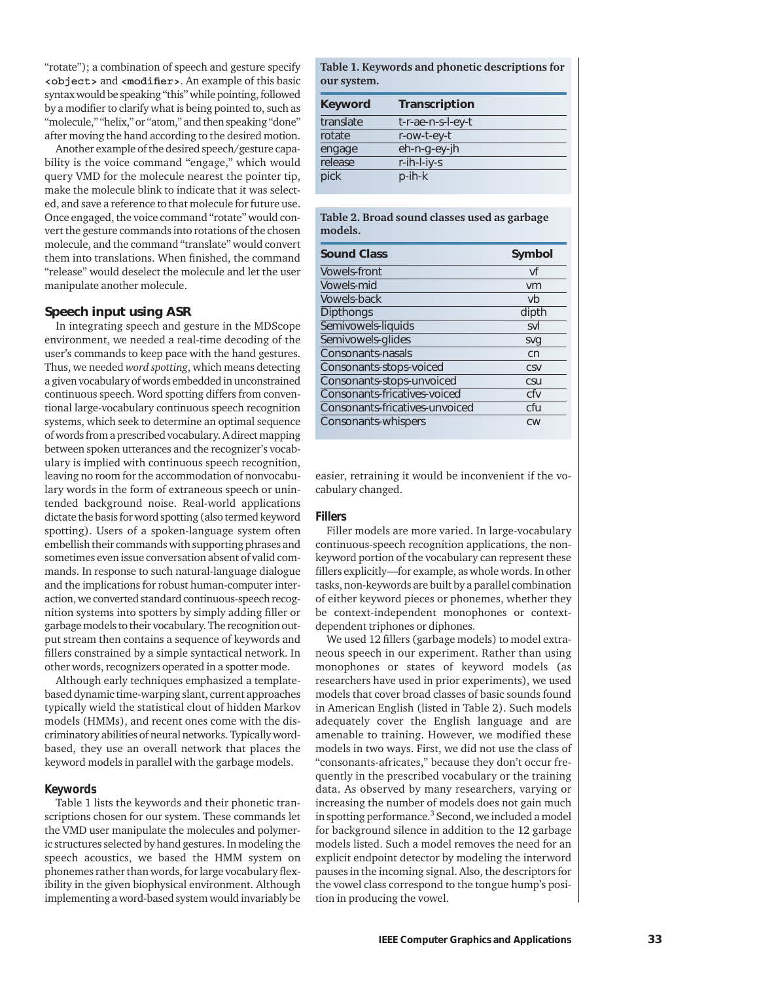"rotate"); a combination of speech and gesture specify <object> and <modifier>. An example of this basic syntax would be speaking "this" while pointing, followed by a modifier to clarify what is being pointed to, such as "molecule," "helix," or "atom," and then speaking "done" after moving the hand according to the desired motion.

Another example of the desired speech/gesture capability is the voice command "engage," which would query VMD for the molecule nearest the pointer tip, make the molecule blink to indicate that it was selected, and save a reference to that molecule for future use. Once engaged, the voice command "rotate" would convert the gesture commands into rotations of the chosen molecule, and the command "translate" would convert them into translations. When finished, the command "release" would deselect the molecule and let the user manipulate another molecule.

# **Speech input using ASR**

In integrating speech and gesture in the MDScope environment, we needed a real-time decoding of the user's commands to keep pace with the hand gestures. Thus, we needed *word spotting*, which means detecting a given vocabulary of words embedded in unconstrained continuous speech. Word spotting differs from conventional large-vocabulary continuous speech recognition systems, which seek to determine an optimal sequence of words from a prescribed vocabulary. A direct mapping between spoken utterances and the recognizer's vocabulary is implied with continuous speech recognition, leaving no room for the accommodation of nonvocabulary words in the form of extraneous speech or unintended background noise. Real-world applications dictate the basis for word spotting (also termed keyword spotting). Users of a spoken-language system often embellish their commands with supporting phrases and sometimes even issue conversation absent of valid commands. In response to such natural-language dialogue and the implications for robust human-computer interaction, we converted standard continuous-speech recognition systems into spotters by simply adding filler or garbage models to their vocabulary. The recognition output stream then contains a sequence of keywords and fillers constrained by a simple syntactical network. In other words, recognizers operated in a spotter mode.

Although early techniques emphasized a templatebased dynamic time-warping slant, current approaches typically wield the statistical clout of hidden Markov models (HMMs), and recent ones come with the discriminatory abilities of neural networks. Typically wordbased, they use an overall network that places the keyword models in parallel with the garbage models.

# *Keywords*

Table 1 lists the keywords and their phonetic transcriptions chosen for our system. These commands let the VMD user manipulate the molecules and polymeric structures selected by hand gestures. In modeling the speech acoustics, we based the HMM system on phonemes rather than words, for large vocabulary flexibility in the given biophysical environment. Although implementing a word-based system would invariably be **Table 1. Keywords and phonetic descriptions for our system.**

| <b>Keyword</b> | <b>Transcription</b> |  |
|----------------|----------------------|--|
| translate      | t-r-ae-n-s-l-ey-t    |  |
| rotate         | r-ow-t-ey-t          |  |
| engage         | eh-n-g-ey-jh         |  |
| release        | r-ih-l-iy-s          |  |
| pick           | $p$ -ih- $k$         |  |

# **Table 2. Broad sound classes used as garbage models.**

| <b>Sound Class</b>             | <b>Symbol</b> |  |
|--------------------------------|---------------|--|
| <b>Vowels-front</b>            | Vf            |  |
| <b>Vowels-mid</b>              | vm            |  |
| Vowels-back                    | vb            |  |
| <b>Dipthongs</b>               | dipth         |  |
| Semivowels-liquids             | svl           |  |
| Semivowels-glides              | svg           |  |
| Consonants-nasals              | cn            |  |
| Consonants-stops-voiced        | CSV           |  |
| Consonants-stops-unvoiced      | <b>CSU</b>    |  |
| Consonants-fricatives-voiced   | cfv           |  |
| Consonants-fricatives-unvoiced | cfu           |  |
| Consonants-whispers            | CM            |  |

easier, retraining it would be inconvenient if the vocabulary changed.

#### *Fillers*

Filler models are more varied. In large-vocabulary continuous-speech recognition applications, the nonkeyword portion of the vocabulary can represent these fillers explicitly—for example, as whole words. In other tasks, non-keywords are built by a parallel combination of either keyword pieces or phonemes, whether they be context-independent monophones or contextdependent triphones or diphones.

We used 12 fillers (garbage models) to model extraneous speech in our experiment. Rather than using monophones or states of keyword models (as researchers have used in prior experiments), we used models that cover broad classes of basic sounds found in American English (listed in Table 2). Such models adequately cover the English language and are amenable to training. However, we modified these models in two ways. First, we did not use the class of "consonants-africates," because they don't occur frequently in the prescribed vocabulary or the training data. As observed by many researchers, varying or increasing the number of models does not gain much in spotting performance.<sup>3</sup> Second, we included a model for background silence in addition to the 12 garbage models listed. Such a model removes the need for an explicit endpoint detector by modeling the interword pauses in the incoming signal. Also, the descriptors for the vowel class correspond to the tongue hump's position in producing the vowel.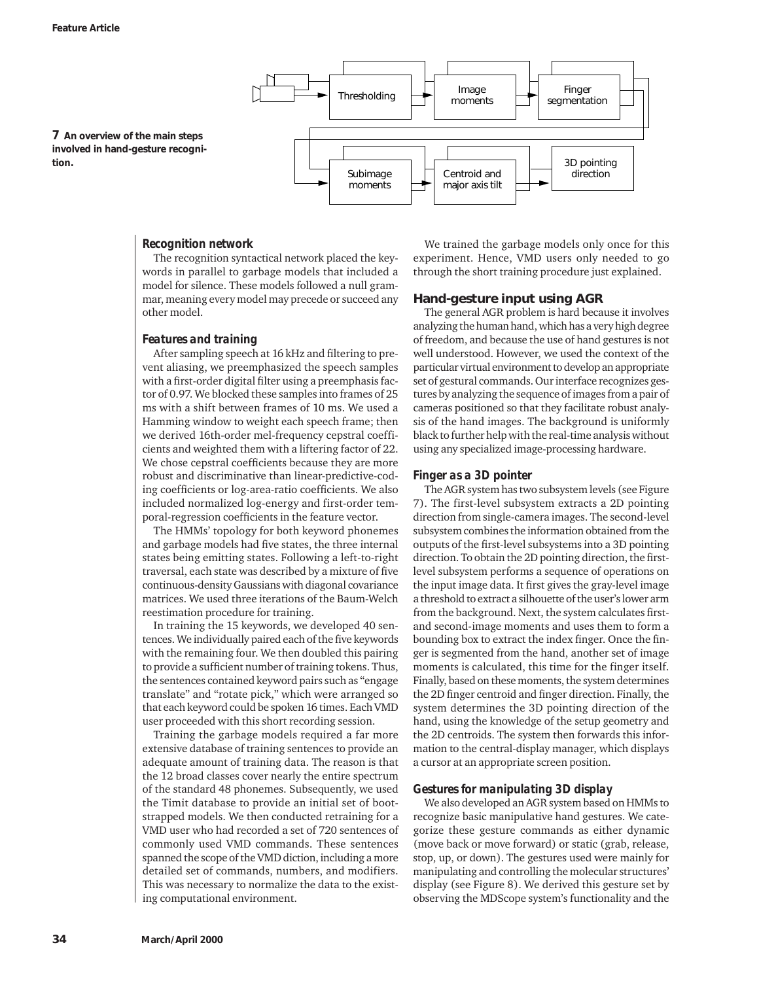

# *Recognition network*

The recognition syntactical network placed the keywords in parallel to garbage models that included a model for silence. These models followed a null grammar, meaning every model may precede or succeed any other model.

# *Features and training*

After sampling speech at 16 kHz and filtering to prevent aliasing, we preemphasized the speech samples with a first-order digital filter using a preemphasis factor of 0.97. We blocked these samples into frames of 25 ms with a shift between frames of 10 ms. We used a Hamming window to weight each speech frame; then we derived 16th-order mel-frequency cepstral coefficients and weighted them with a liftering factor of 22. We chose cepstral coefficients because they are more robust and discriminative than linear-predictive-coding coefficients or log-area-ratio coefficients. We also included normalized log-energy and first-order temporal-regression coefficients in the feature vector.

The HMMs' topology for both keyword phonemes and garbage models had five states, the three internal states being emitting states. Following a left-to-right traversal, each state was described by a mixture of five continuous-density Gaussians with diagonal covariance matrices. We used three iterations of the Baum-Welch reestimation procedure for training.

In training the 15 keywords, we developed 40 sentences. We individually paired each of the five keywords with the remaining four. We then doubled this pairing to provide a sufficient number of training tokens. Thus, the sentences contained keyword pairs such as "engage translate" and "rotate pick," which were arranged so that each keyword could be spoken 16 times. Each VMD user proceeded with this short recording session.

Training the garbage models required a far more extensive database of training sentences to provide an adequate amount of training data. The reason is that the 12 broad classes cover nearly the entire spectrum of the standard 48 phonemes. Subsequently, we used the Timit database to provide an initial set of bootstrapped models. We then conducted retraining for a VMD user who had recorded a set of 720 sentences of commonly used VMD commands. These sentences spanned the scope of the VMD diction, including a more detailed set of commands, numbers, and modifiers. This was necessary to normalize the data to the existing computational environment.

We trained the garbage models only once for this experiment. Hence, VMD users only needed to go through the short training procedure just explained.

# **Hand-gesture input using AGR**

The general AGR problem is hard because it involves analyzing the human hand, which has a very high degree of freedom, and because the use of hand gestures is not well understood. However, we used the context of the particular virtual environment to develop an appropriate set of gestural commands. Our interface recognizes gestures by analyzing the sequence of images from a pair of cameras positioned so that they facilitate robust analysis of the hand images. The background is uniformly black to further help with the real-time analysis without using any specialized image-processing hardware.

# *Finger as a 3D pointer*

The AGR system has two subsystem levels (see Figure 7). The first-level subsystem extracts a 2D pointing direction from single-camera images. The second-level subsystem combines the information obtained from the outputs of the first-level subsystems into a 3D pointing direction. To obtain the 2D pointing direction, the firstlevel subsystem performs a sequence of operations on the input image data. It first gives the gray-level image a threshold to extract a silhouette of the user's lower arm from the background. Next, the system calculates firstand second-image moments and uses them to form a bounding box to extract the index finger. Once the finger is segmented from the hand, another set of image moments is calculated, this time for the finger itself. Finally, based on these moments, the system determines the 2D finger centroid and finger direction. Finally, the system determines the 3D pointing direction of the hand, using the knowledge of the setup geometry and the 2D centroids. The system then forwards this information to the central-display manager, which displays a cursor at an appropriate screen position.

#### *Gestures for manipulating 3D display*

We also developed an AGR system based on HMMs to recognize basic manipulative hand gestures. We categorize these gesture commands as either dynamic (move back or move forward) or static (grab, release, stop, up, or down). The gestures used were mainly for manipulating and controlling the molecular structures' display (see Figure 8). We derived this gesture set by observing the MDScope system's functionality and the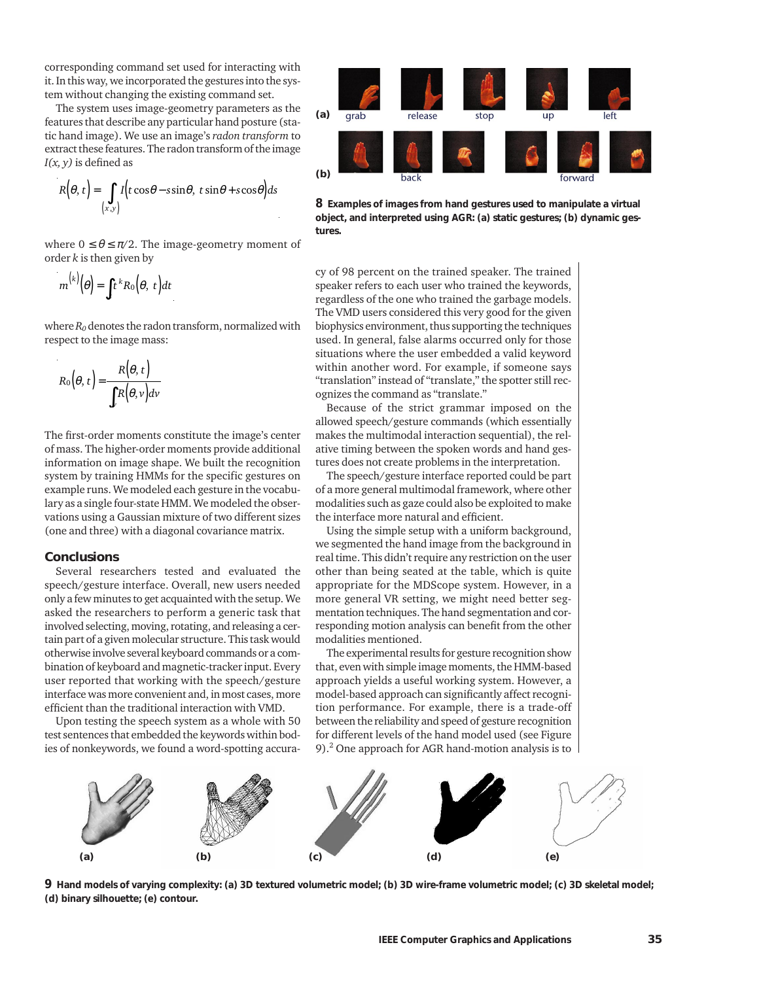corresponding command set used for interacting with it. In this way, we incorporated the gestures into the system without changing the existing command set.

The system uses image-geometry parameters as the features that describe any particular hand posture (static hand image). We use an image's *radon transform* to extract these features. The radon transform of the image *I(x, y)* is defined as

$$
R(\theta, t) = \int_{(x,y)} I(t \cos \theta - s \sin \theta, t \sin \theta + s \cos \theta) ds
$$

where  $0 \le \theta \le \pi/2$ . The image-geometry moment of order *k* is then given by

$$
m^{(k)}(\theta) = \int_t t^k R_0(\theta, t) dt
$$

where *R0* denotes the radon transform, normalized with respect to the image mass:

$$
R_0(\theta, t) = \frac{R(\theta, t)}{\int_{\nu} R(\theta, v) dv}
$$

The first-order moments constitute the image's center of mass. The higher-order moments provide additional information on image shape. We built the recognition system by training HMMs for the specific gestures on example runs. We modeled each gesture in the vocabulary as a single four-state HMM. We modeled the observations using a Gaussian mixture of two different sizes (one and three) with a diagonal covariance matrix.

#### **Conclusions**

Several researchers tested and evaluated the speech/gesture interface. Overall, new users needed only a few minutes to get acquainted with the setup. We asked the researchers to perform a generic task that involved selecting, moving, rotating, and releasing a certain part of a given molecular structure. This task would otherwise involve several keyboard commands or a combination of keyboard and magnetic-tracker input. Every user reported that working with the speech/gesture interface was more convenient and, in most cases, more efficient than the traditional interaction with VMD.

Upon testing the speech system as a whole with 50 test sentences that embedded the keywords within bodies of nonkeywords, we found a word-spotting accura-



**8 Examples of images from hand gestures used to manipulate a virtual object, and interpreted using AGR: (a) static gestures; (b) dynamic gestures.**

cy of 98 percent on the trained speaker. The trained speaker refers to each user who trained the keywords, regardless of the one who trained the garbage models. The VMD users considered this very good for the given biophysics environment, thus supporting the techniques used. In general, false alarms occurred only for those situations where the user embedded a valid keyword within another word. For example, if someone says "translation" instead of "translate," the spotter still recognizes the command as "translate."

Because of the strict grammar imposed on the allowed speech/gesture commands (which essentially makes the multimodal interaction sequential), the relative timing between the spoken words and hand gestures does not create problems in the interpretation.

The speech/gesture interface reported could be part of a more general multimodal framework, where other modalities such as gaze could also be exploited to make the interface more natural and efficient.

Using the simple setup with a uniform background, we segmented the hand image from the background in real time. This didn't require any restriction on the user other than being seated at the table, which is quite appropriate for the MDScope system. However, in a more general VR setting, we might need better segmentation techniques. The hand segmentation and corresponding motion analysis can benefit from the other modalities mentioned.

The experimental results for gesture recognition show that, even with simple image moments, the HMM-based approach yields a useful working system. However, a model-based approach can significantly affect recognition performance. For example, there is a trade-off between the reliability and speed of gesture recognition for different levels of the hand model used (see Figure 9).2 One approach for AGR hand-motion analysis is to



**9 Hand models of varying complexity: (a) 3D textured volumetric model; (b) 3D wire-frame volumetric model; (c) 3D skeletal model; (d) binary silhouette; (e) contour.**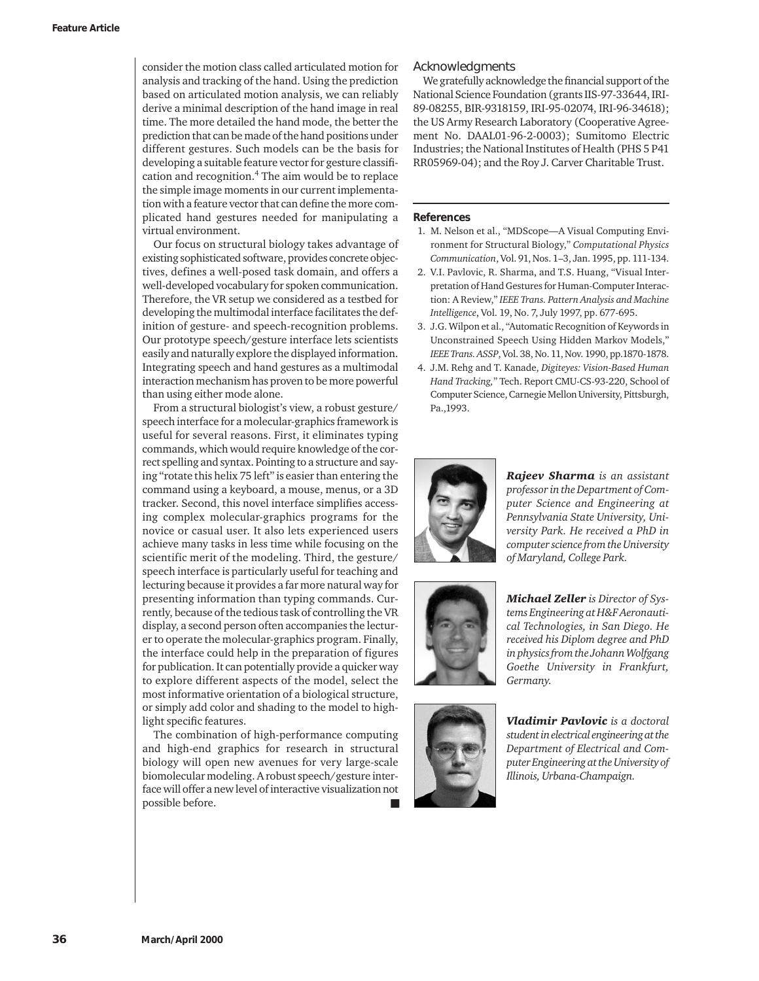consider the motion class called articulated motion for analysis and tracking of the hand. Using the prediction based on articulated motion analysis, we can reliably derive a minimal description of the hand image in real time. The more detailed the hand mode, the better the prediction that can be made of the hand positions under different gestures. Such models can be the basis for developing a suitable feature vector for gesture classification and recognition.<sup>4</sup> The aim would be to replace the simple image moments in our current implementation with a feature vector that can define the more complicated hand gestures needed for manipulating a virtual environment.

Our focus on structural biology takes advantage of existing sophisticated software, provides concrete objectives, defines a well-posed task domain, and offers a well-developed vocabulary for spoken communication. Therefore, the VR setup we considered as a testbed for developing the multimodal interface facilitates the definition of gesture- and speech-recognition problems. Our prototype speech/gesture interface lets scientists easily and naturally explore the displayed information. Integrating speech and hand gestures as a multimodal interaction mechanism has proven to be more powerful than using either mode alone.

From a structural biologist's view, a robust gesture/ speech interface for a molecular-graphics framework is useful for several reasons. First, it eliminates typing commands, which would require knowledge of the correct spelling and syntax. Pointing to a structure and saying "rotate this helix 75 left" is easier than entering the command using a keyboard, a mouse, menus, or a 3D tracker. Second, this novel interface simplifies accessing complex molecular-graphics programs for the novice or casual user. It also lets experienced users achieve many tasks in less time while focusing on the scientific merit of the modeling. Third, the gesture/ speech interface is particularly useful for teaching and lecturing because it provides a far more natural way for presenting information than typing commands. Currently, because of the tedious task of controlling the VR display, a second person often accompanies the lecturer to operate the molecular-graphics program. Finally, the interface could help in the preparation of figures for publication. It can potentially provide a quicker way to explore different aspects of the model, select the most informative orientation of a biological structure, or simply add color and shading to the model to highlight specific features.

The combination of high-performance computing and high-end graphics for research in structural biology will open new avenues for very large-scale biomolecular modeling. A robust speech/gesture interface will offer a new level of interactive visualization not possible before.

# Acknowledgments

We gratefully acknowledge the financial support of the National Science Foundation (grants IIS-97-33644, IRI-89-08255, BIR-9318159, IRI-95-02074, IRI-96-34618); the US Army Research Laboratory (Cooperative Agreement No. DAAL01-96-2-0003); Sumitomo Electric Industries; the National Institutes of Health (PHS 5 P41 RR05969-04); and the Roy J. Carver Charitable Trust.

#### **References**

- 1. M. Nelson et al., "MDScope—A Visual Computing Environment for Structural Biology," *Computational Physics Communication*, Vol. 91, Nos. 1–3, Jan. 1995, pp. 111-134.
- 2. V.I. Pavlovic, R. Sharma, and T.S. Huang, "Visual Interpretation of Hand Gestures for Human-Computer Interaction: A Review," *IEEE Trans. Pattern Analysis and Machine Intelligence*, Vol. 19, No. 7, July 1997, pp. 677-695.
- 3. J.G. Wilpon et al., "Automatic Recognition of Keywords in Unconstrained Speech Using Hidden Markov Models," *IEEE Trans. ASSP*, Vol. 38, No. 11, Nov. 1990, pp.1870-1878.
- 4. J.M. Rehg and T. Kanade, *Digiteyes: Vision-Based Human Hand Tracking,*" Tech. Report CMU-CS-93-220, School of Computer Science, Carnegie Mellon University, Pittsburgh, Pa.,1993.



*Rajeev Sharma is an assistant professor in the Department of Computer Science and Engineering at Pennsylvania State University, University Park. He received a PhD in computer science from the University of Maryland, College Park.*



*Michael Zeller is Director of Systems Engineering at H&F Aeronautical Technologies, in San Diego. He received his Diplom degree and PhD in physics from the Johann Wolfgang Goethe University in Frankfurt, Germany.*



*Vladimir Pavlovic is a doctoral student in electrical engineering at the Department of Electrical and Computer Engineering at the University of Illinois, Urbana-Champaign.*